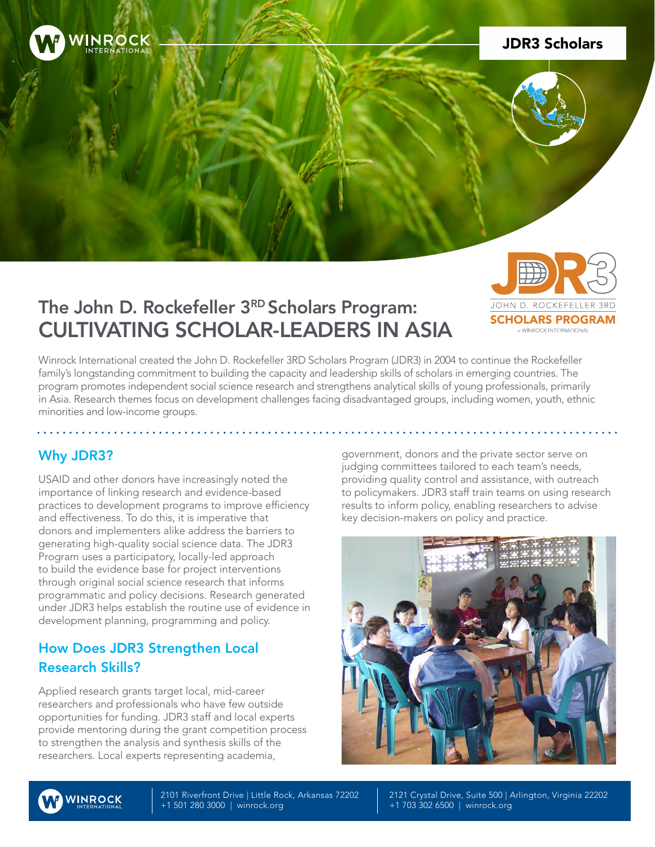

## JDR3 Scholars

#### The John D. Rockefeller 3RD Scholars Program: OHN D. ROCKEEE **SCHOLARS PROGRAM** CULTIVATING SCHOLAR-LEADERS IN ASIA **MINROCK INTERNATIONAL**

Winrock International created the John D. Rockefeller 3RD Scholars Program (JDR3) in 2004 to continue the Rockefeller family's longstanding commitment to building the capacity and leadership skills of scholars in emerging countries. The program promotes independent social science research and strengthens analytical skills of young professionals, primarily in Asia. Research themes focus on development challenges facing disadvantaged groups, including women, youth, ethnic minorities and low-income groups.

# Why JDR3?

USAID and other donors have increasingly noted the importance of linking research and evidence-based practices to development programs to improve efficiency and effectiveness. To do this, it is imperative that donors and implementers alike address the barriers to generating high-quality social science data. The JDR3 Program uses a participatory, locally-led approach to build the evidence base for project interventions through original social science research that informs programmatic and policy decisions. Research generated under JDR3 helps establish the routine use of evidence in development planning, programming and policy.

# How Does JDR3 Strengthen Local Research Skills?

Applied research grants target local, mid-career researchers and professionals who have few outside opportunities for funding. JDR3 staff and local experts provide mentoring during the grant competition process to strengthen the analysis and synthesis skills of the researchers. Local experts representing academia,

government, donors and the private sector serve on judging committees tailored to each team's needs, providing quality control and assistance, with outreach to policymakers. JDR3 staff train teams on using research results to inform policy, enabling researchers to advise key decision-makers on policy and practice.





2101 Riverfront Drive | Little Rock, Arkansas 72202 +1 501 280 3000 | winrock.org

2121 Crystal Drive, Suite 500 | Arlington, Virginia 22202 +1 703 302 6500 | winrock.org